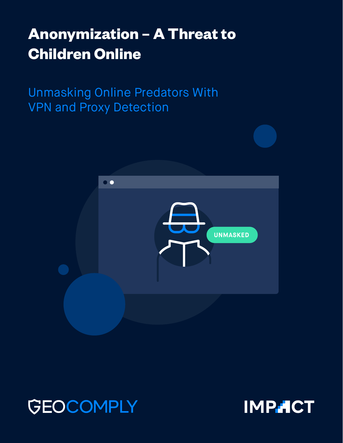# **Anonymization – A Threat to Children Online**

Unmasking Online Predators With VPN and Proxy Detection





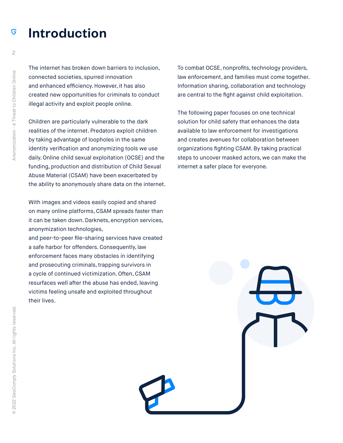#### Introduction G

The internet has broken down barriers to inclusion, connected societies, spurred innovation and enhanced efficiency. However, it has also created new opportunities for criminals to conduct illegal activity and exploit people online.

Children are particularly vulnerable to the dark realities of the internet. Predators exploit children by taking advantage of loopholes in the same identity verification and anonymizing tools we use daily. Online child sexual exploitation (OCSE) and the funding, production and distribution of Child Sexual Abuse Material (CSAM) have been exacerbated by the ability to anonymously share data on the internet.

With images and videos easily copied and shared on many online platforms, CSAM spreads faster than it can be taken down. Darknets, encryption services, anonymization technologies,

and peer-to-peer file-sharing services have created a safe harbor for offenders. Consequently, law enforcement faces many obstacles in identifying and prosecuting criminals, trapping survivors in a cycle of continued victimization. Often, CSAM resurfaces well after the abuse has ended, leaving victims feeling unsafe and exploited throughout their lives.

To combat OCSE, nonprofits, technology providers, law enforcement, and families must come together. Information sharing, collaboration and technology are central to the fight against child exploitation.

The following paper focuses on one technical solution for child safety that enhances the data available to law enforcement for investigations and creates avenues for collaboration between organizations fighting CSAM. By taking practical steps to uncover masked actors, we can make the internet a safer place for everyone.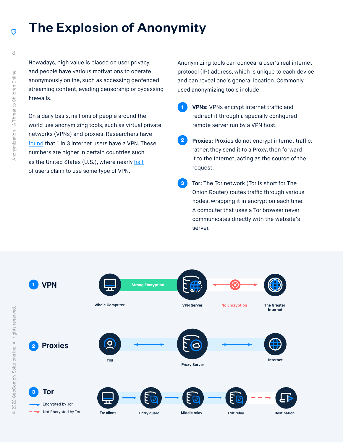# The Explosion of Anonymity

Nowadays, high value is placed on user privacy, and people have various motivations to operate anonymously online, such as accessing geofenced streaming content, evading censorship or bypassing firewalls.

On a daily basis, millions of people around the world use anonymizing tools, such as virtual private networks (VPNs) and proxies. Researchers have [found](https://www.top10vpn.com/assets/2020/03/Top10VPN-GWI-Global-VPN-Usage-Report-2020.pdf) that 1 in 3 internet users have a VPN. These numbers are higher in certain countries such as the United States (U.S.), where nearly [half](https://www.security.org/resources/vpn-consumer-report-2020/) of users claim to use some type of VPN.

Anonymizing tools can conceal a user's real internet protocol (IP) address, which is unique to each device and can reveal one's general location. Commonly used anonymizing tools include:

- **VPNs:** VPNs encrypt internet traffic and redirect it through a specially configured remote server run by a VPN host. **1**
- Proxies: Proxies do not encrypt internet traffic; rather, they send it to a Proxy, then forward it to the Internet, acting as the source of the request. **2**
- **Tor:** The Tor network (Tor is short for The Onion Router) routes traffic through various nodes, wrapping it in encryption each time. A computer that uses a Tor browser never communicates directly with the website's server. **3**



Ġ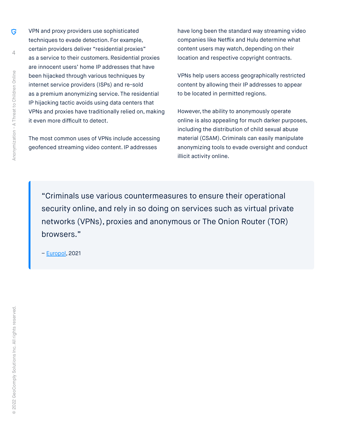VPN and proxy providers use sophisticated techniques to evade detection. For example, certain providers deliver "residential proxies" as a service to their customers. Residential proxies are innocent users' home IP addresses that have been hijacked through various techniques by internet service providers (ISPs) and re-sold as a premium anonymizing service. The residential IP hijacking tactic avoids using data centers that VPNs and proxies have traditionally relied on, making it even more difficult to detect.

The most common uses of VPNs include accessing geofenced streaming video content. IP addresses

have long been the standard way streaming video companies like Netflix and Hulu determine what content users may watch, depending on their location and respective copyright contracts.

VPNs help users access geographically restricted content by allowing their IP addresses to appear to be located in permitted regions.

However, the ability to anonymously operate online is also appealing for much darker purposes, including the distribution of child sexual abuse material (CSAM). Criminals can easily manipulate anonymizing tools to evade oversight and conduct illicit activity online.

"Criminals use various countermeasures to ensure their operational security online, and rely in so doing on services such as virtual private networks (VPNs), proxies and anonymous or The Onion Router (TOR) browsers."

– [Europol,](https://www.europol.europa.eu/cms/sites/default/files/documents/socta2021_1.pdf) 2021

G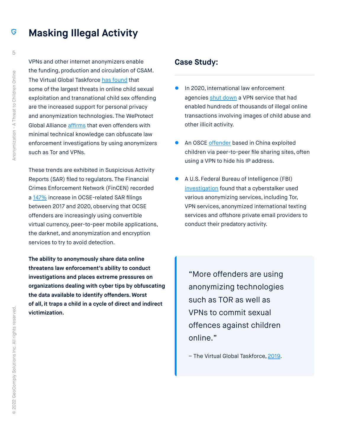#### **Masking Illegal Activity**  G

VPNs and other internet anonymizers enable the funding, production and circulation of CSAM. The Virtual Global Taskforce [has found](http://virtualglobaltaskforce.com/wp-content/uploads/2020/02/2019-Virtual-Global-Taskforce-Environmental-Scan_Unclassi.pdf) that some of the largest threats in online child sexual exploitation and transnational child sex offending are the increased support for personal privacy and anonymization technologies. The WeProtect Global Alliance [affirms](https://www.weprotect.org/wp-content/plugins/pdfjs-viewer-shortcode/pdfjs/web/viewer.php?file=/wp-content/uploads/Global-Threat-Assessment-2021.pdf&dButton=true&pButton=true&oButton=false&sButton=true#zoom=0&pagemode=none) that even offenders with minimal technical knowledge can obfuscate law enforcement investigations by using anonymizers such as Tor and VPNs.

These trends are exhibited in Suspicious Activity Reports (SAR) filed to regulators. The Financial Crimes Enforcement Network (FinCEN) recorded a [147%](https://www.fincen.gov/sites/default/files/shared/FinCEN%20OCSE%20Notice%20508C.pdf) increase in OCSE-related SAR filings between 2017 and 2020, observing that OCSE offenders are increasingly using convertible virtual currency, peer-to-peer mobile applications, the darknet, and anonymization and encryption services to try to avoid detection.

**The ability to anonymously share data online threatens law enforcement's ability to conduct investigations and places extreme pressures on organizations dealing with cyber tips by obfuscating the data available to identify offenders. Worst of all, it traps a child in a cycle of direct and indirect victimization.**

### **Case Study:**

- In 2020, international law enforcement agencies [shut down](https://www.europol.europa.eu/newsroom/news/cybercriminals%E2%80%99-favourite-vpn-taken-down-in-global-action) a VPN service that had enabled hundreds of thousands of illegal online transactions involving images of child abuse and other illicit activity.
- An OSCE [offender](https://www.end-violence.org/sites/default/files/paragraphs/download/Global%20Threat%20Assessment%202019.pdf) based in China exploited children via peer-to-peer file sharing sites, often using a VPN to hide his IP address.
- z A U.S. Federal Bureau of Intelligence (FBI) [investigation](https://www.justice.gov/opa/press-release/file/1001841/download) found that a cyberstalker used various anonymizing services, including Tor, VPN services, anonymized international texting services and offshore private email providers to conduct their predatory activity.

"More offenders are using anonymizing technologies such as TOR as well as VPNs to commit sexual offences against children online."

– The Virtual Global Taskforce, [2019.](http://virtualglobaltaskforce.com/wp-content/uploads/2020/02/2019-Virtual-Global-Taskforce-Environmental-Scan_Unclassi.pdf)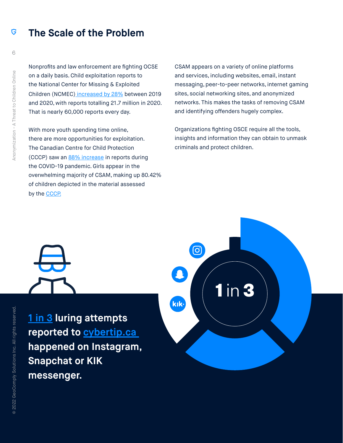#### **The Scale of the Problem** G

Nonprofits and law enforcement are fighting OCSE on a daily basis. Child exploitation reports to the National Center for Missing & Exploited Children (NCMEC) [increased by 28%](https://www.missingkids.org/gethelpnow/cybertipline) between 2019 and 2020, with reports totalling 21.7 million in 2020. That is nearly 60,000 reports every day.

With more youth spending time online, there are more opportunities for exploitation. The Canadian Centre for Child Protection (CCCP) saw an [88% increase](https://www.cybertip.ca/app/en/media_release_202102_sid2021) in reports during the COVID-19 pandemic. Girls appear in the overwhelming majority of CSAM, making up 80.42% of children depicted in the material assessed by the [CCCP.](http://s3.documentcloud.org/documents/2699673/Cybertip-ca-CSAResearchReport-2016-En.pdf)

CSAM appears on a variety of online platforms and services, including websites, email, instant messaging, peer-to-peer networks, internet gaming sites, social networking sites, and anonymized networks. This makes the tasks of removing CSAM and identifying offenders hugely complex.

Organizations fighting OSCE require all the tools, insights and information they can obtain to unmask criminals and protect children.

**[1 in 3](https://on24static.akamaized.net/event/35/12/99/9/rt/1/documents/resourceList1637028486767/projectshadowfincrimecanada20211116211637028485310.pdf) luring attempts reported to [cybertip.ca](http://cybertip.ca/)  happened on Instagram, Snapchat or KIK messenger.**

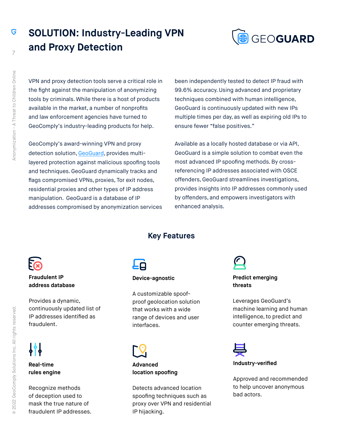G

## **SOLUTION: Industry-Leading VPN and Proxy Detection**



VPN and proxy detection tools serve a critical role in the fight against the manipulation of anonymizing tools by criminals. While there is a host of products available in the market, a number of nonprofits and law enforcement agencies have turned to GeoComply's industry-leading products for help.

GeoComply's award-winning VPN and proxy detection solution, [GeoGuard](https://www.geocomply.com/app/uploads/GeoGuard_Brochure_impact.pdf), provides multilayered protection against malicious spoofing tools and techniques. GeoGuard dynamically tracks and flags compromised VPNs, proxies, Tor exit nodes, residential proxies and other types of IP address manipulation. GeoGuard is a database of IP addresses compromised by anonymization services been independently tested to detect IP fraud with 99.6% accuracy. Using advanced and proprietary techniques combined with human intelligence, GeoGuard is continuously updated with new IPs multiple times per day, as well as expiring old IPs to ensure fewer "false positives."

Available as a locally hosted database or via API, GeoGuard is a simple solution to combat even the most advanced IP spoofing methods. By crossreferencing IP addresses associated with OSCE offenders, GeoGuard streamlines investigations, provides insights into IP addresses commonly used by offenders, and empowers investigators with enhanced analysis.

**Key Features**



### **Fraudulent IP address database**

Provides a dynamic, continuously updated list of IP addresses identified as fraudulent.



**Real-time rules engine**

Recognize methods of deception used to mask the true nature of fraudulent IP addresses.

#### **Device-agnostic**

A customizable spoofproof geolocation solution that works with a wide range of devices and user interfaces.



**Advanced location spoofing**

Detects advanced location spoofing techniques such as proxy over VPN and residential IP hijacking.

**Predict emerging threats**

Leverages GeoGuard's machine learning and human intelligence, to predict and counter emerging threats.



#### **Industry-verified**

Approved and recommended to help uncover anonymous bad actors.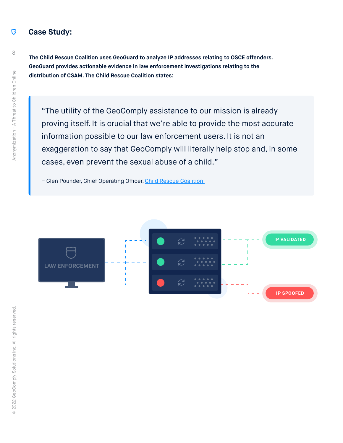#### **Case Study:** G

**The Child Rescue Coalition uses GeoGuard to analyze IP addresses relating to OSCE offenders. GeoGuard provides actionable evidence in law enforcement investigations relating to the distribution of CSAM. The Child Rescue Coalition states:**

"The utility of the GeoComply assistance to our mission is already proving itself. It is crucial that we're able to provide the most accurate information possible to our law enforcement users. It is not an exaggeration to say that GeoComply will literally help stop and, in some cases, even prevent the sexual abuse of a child."

– Glen Pounder, Chief Operating Officer, [Child Rescue Coalition](https://childrescuecoalition.org)